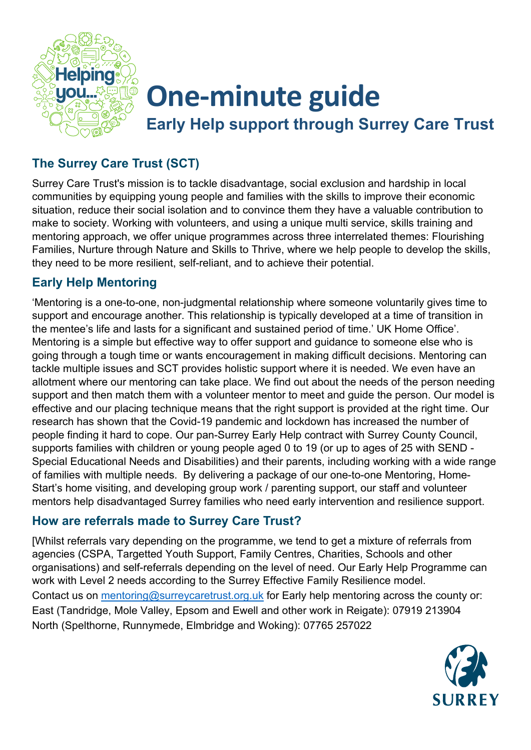

# **One-minute guide**

**Early Help support through Surrey Care Trust**

### **The Surrey Care Trust (SCT)**

Surrey Care Trust's mission is to tackle disadvantage, social exclusion and hardship in local communities by equipping young people and families with the skills to improve their economic situation, reduce their social isolation and to convince them they have a valuable contribution to make to society. Working with volunteers, and using a unique multi service, skills training and mentoring approach, we offer unique programmes across three interrelated themes: Flourishing Families, Nurture through Nature and Skills to Thrive, where we help people to develop the skills, they need to be more resilient, self-reliant, and to achieve their potential.

#### **Early Help Mentoring**

'Mentoring is a one-to-one, non-judgmental relationship where someone voluntarily gives time to support and encourage another. This relationship is typically developed at a time of transition in the mentee's life and lasts for a significant and sustained period of time.' UK Home Office'. Mentoring is a simple but effective way to offer support and guidance to someone else who is going through a tough time or wants encouragement in making difficult decisions. Mentoring can tackle multiple issues and SCT provides holistic support where it is needed. We even have an allotment where our mentoring can take place. We find out about the needs of the person needing support and then match them with a volunteer mentor to meet and guide the person. Our model is effective and our placing technique means that the right support is provided at the right time. Our research has shown that the Covid-19 pandemic and lockdown has increased the number of people finding it hard to cope. Our pan-Surrey Early Help contract with Surrey County Council, supports families with children or young people aged 0 to 19 (or up to ages of 25 with SEND - Special Educational Needs and Disabilities) and their parents, including working with a wide range of families with multiple needs. By delivering a package of our one-to-one Mentoring, Home-Start's home visiting, and developing group work / parenting support, our staff and volunteer mentors help disadvantaged Surrey families who need early intervention and resilience support.

#### **How are referrals made to Surrey Care Trust?**

[Whilst referrals vary depending on the programme, we tend to get a mixture of referrals from agencies (CSPA, Targetted Youth Support, Family Centres, Charities, Schools and other organisations) and self-referrals depending on the level of need. Our Early Help Programme can work with Level 2 needs according to the Surrey Effective Family Resilience model. Contact us on [mentoring@surreycaretrust.org.uk](mailto:mentoring@surreycaretrust.org.uk) for Early help mentoring across the county or: East (Tandridge, Mole Valley, Epsom and Ewell and other work in Reigate): 07919 213904 North (Spelthorne, Runnymede, Elmbridge and Woking): 07765 257022